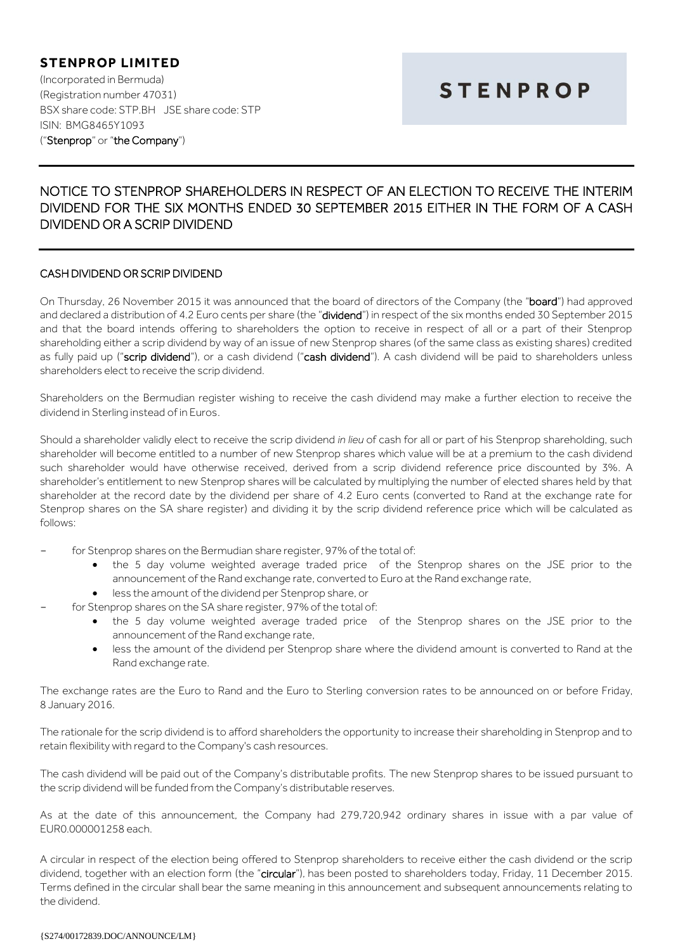## **STENPROP LIMITED** (Incorporated in Bermuda) (Registration number 47031) BSX share code: STP.BH JSE share code: STP ISIN: BMG8465Y1093 ("Stenprop" or "the Company")

# **STENPROP**

## NOTICE TO STENPROP SHAREHOLDERS IN RESPECT OF AN ELECTION TO RECEIVE THE INTERIM DIVIDEND FOR THE SIX MONTHS ENDED 30 SEPTEMBER 2015 EITHER IN THE FORM OF A CASH DIVIDEND OR A SCRIP DIVIDEND

## CASH DIVIDEND OR SCRIP DIVIDEND

On Thursday, 26 November 2015 it was announced that the board of directors of the Company (the "board") had approved and declared a distribution of 4.2 Euro cents per share (the "dividend") in respect of the six months ended 30 September 2015 and that the board intends offering to shareholders the option to receive in respect of all or a part of their Stenprop shareholding either a scrip dividend by way of an issue of new Stenprop shares (of the same class as existing shares) credited as fully paid up ("scrip dividend"), or a cash dividend ("cash dividend"). A cash dividend will be paid to shareholders unless shareholders elect to receive the scrip dividend.

Shareholders on the Bermudian register wishing to receive the cash dividend may make a further election to receive the dividend in Sterling instead of in Euros.

Should a shareholder validly elect to receive the scrip dividend *in lieu* of cash for all or part of his Stenprop shareholding, such shareholder will become entitled to a number of new Stenprop shares which value will be at a premium to the cash dividend such shareholder would have otherwise received, derived from a scrip dividend reference price discounted by 3%. A shareholder's entitlement to new Stenprop shares will be calculated by multiplying the number of elected shares held by that shareholder at the record date by the dividend per share of 4.2 Euro cents (converted to Rand at the exchange rate for Stenprop shares on the SA share register) and dividing it by the scrip dividend reference price which will be calculated as follows:

- for Stenprop shares on the Bermudian share register, 97% of the total of:
	- the 5 day volume weighted average traded price of the Stenprop shares on the JSE prior to the announcement of the Rand exchange rate, converted to Euro at the Rand exchange rate,
	- less the amount of the dividend per Stenprop share, or
	- for Stenprop shares on the SA share register, 97% of the total of:
		- the 5 day volume weighted average traded price of the Stenprop shares on the JSE prior to the announcement of the Rand exchange rate,
		- less the amount of the dividend per Stenprop share where the dividend amount is converted to Rand at the Rand exchange rate.

The exchange rates are the Euro to Rand and the Euro to Sterling conversion rates to be announced on or before Friday, 8 January 2016.

The rationale for the scrip dividend is to afford shareholders the opportunity to increase their shareholding in Stenprop and to retain flexibility with regard to the Company's cash resources.

The cash dividend will be paid out of the Company's distributable profits. The new Stenprop shares to be issued pursuant to the scrip dividend will be funded from the Company's distributable reserves.

As at the date of this announcement, the Company had 279,720,942 ordinary shares in issue with a par value of EUR0.000001258 each.

A circular in respect of the election being offered to Stenprop shareholders to receive either the cash dividend or the scrip dividend, together with an election form (the "circular"), has been posted to shareholders today, Friday, 11 December 2015. Terms defined in the circular shall bear the same meaning in this announcement and subsequent announcements relating to the dividend.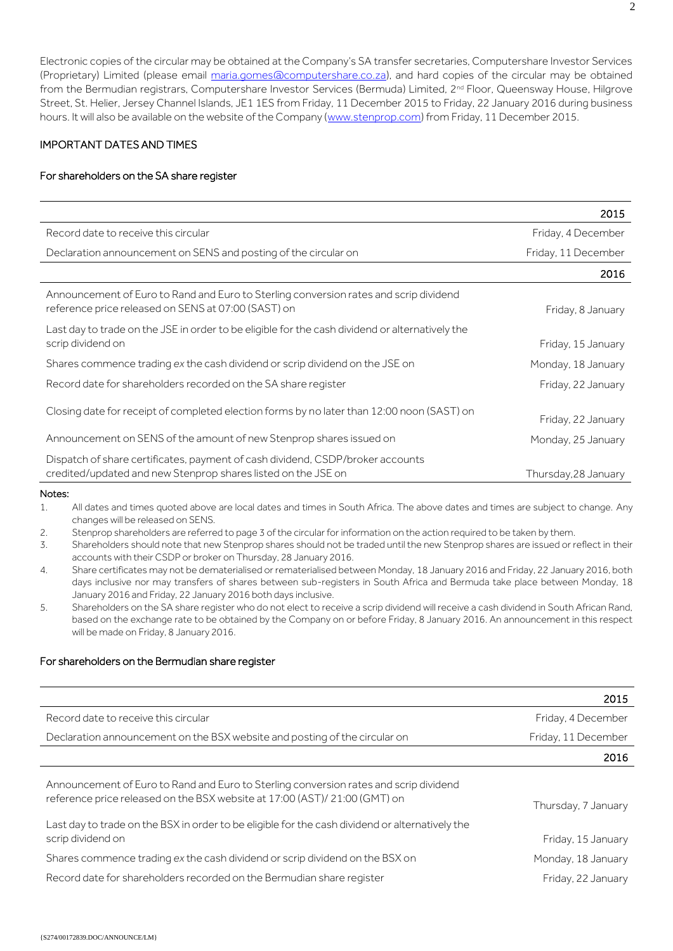Electronic copies of the circular may be obtained at the Company's SA transfer secretaries, Computershare Investor Services (Proprietary) Limited (please email [maria.gomes@computershare.co.za\)](mailto:maria.gomes@computershare.co.za), and hard copies of the circular may be obtained from the Bermudian registrars, Computershare Investor Services (Bermuda) Limited, 2<sup>nd</sup> Floor, Queensway House, Hilgrove Street, St. Helier, Jersey Channel Islands, JE1 1ES from Friday, 11 December 2015 to Friday, 22 January 2016 during business hours. It will also be available on the website of the Company [\(www.stenprop.com\)](http://www.stenprop.com/) from Friday, 11 December 2015.

## IMPORTANT DATES AND TIMES

## For shareholders on the SA share register

|                                                                                                                                                 | 2015                 |
|-------------------------------------------------------------------------------------------------------------------------------------------------|----------------------|
| Record date to receive this circular                                                                                                            | Friday, 4 December   |
| Declaration announcement on SENS and posting of the circular on                                                                                 | Friday, 11 December  |
|                                                                                                                                                 | 2016                 |
| Announcement of Euro to Rand and Euro to Sterling conversion rates and scrip dividend<br>reference price released on SENS at 07:00 (SAST) on    | Friday, 8 January    |
| Last day to trade on the JSE in order to be eligible for the cash dividend or alternatively the<br>scrip dividend on                            | Friday, 15 January   |
| Shares commence trading ex the cash dividend or scrip dividend on the JSE on                                                                    | Monday, 18 January   |
| Record date for shareholders recorded on the SA share register                                                                                  | Friday, 22 January   |
| Closing date for receipt of completed election forms by no later than 12:00 noon (SAST) on                                                      | Friday, 22 January   |
| Announcement on SENS of the amount of new Stenprop shares issued on                                                                             | Monday, 25 January   |
| Dispatch of share certificates, payment of cash dividend, CSDP/broker accounts<br>credited/updated and new Stenprop shares listed on the JSE on | Thursday, 28 January |

#### Notes:

1. All dates and times quoted above are local dates and times in South Africa. The above dates and times are subject to change. Any changes will be released on SENS.

2. Stenprop shareholders are referred to page 3 of the circular for information on the action required to be taken by them.

3. Shareholders should note that new Stenprop shares should not be traded until the new Stenprop shares are issued or reflect in their accounts with their CSDP or broker on Thursday, 28 January 2016.

- 4. Share certificates may not be dematerialised or rematerialised between Monday, 18 January 2016 and Friday, 22 January 2016, both days inclusive nor may transfers of shares between sub-registers in South Africa and Bermuda take place between Monday, 18 January 2016 and Friday, 22 January 2016 both days inclusive.
- 5. Shareholders on the SA share register who do not elect to receive a scrip dividend will receive a cash dividend in South African Rand, based on the exchange rate to be obtained by the Company on or before Friday, 8 January 2016. An announcement in this respect will be made on Friday, 8 January 2016.

## For shareholders on the Bermudian share register

|                                                                                                                                                                    | 2015                |
|--------------------------------------------------------------------------------------------------------------------------------------------------------------------|---------------------|
| Record date to receive this circular                                                                                                                               | Friday, 4 December  |
| Declaration announcement on the BSX website and posting of the circular on                                                                                         | Friday, 11 December |
|                                                                                                                                                                    | 2016                |
| Announcement of Euro to Rand and Euro to Sterling conversion rates and scrip dividend<br>reference price released on the BSX website at 17:00 (AST)/21:00 (GMT) on | Thursday, 7 January |
| Last day to trade on the BSX in order to be eligible for the cash dividend or alternatively the<br>scrip dividend on                                               | Friday, 15 January  |
| Shares commence trading ex the cash dividend or scrip dividend on the BSX on                                                                                       | Monday, 18 January  |
| Record date for shareholders recorded on the Bermudian share register                                                                                              | Friday, 22 January  |